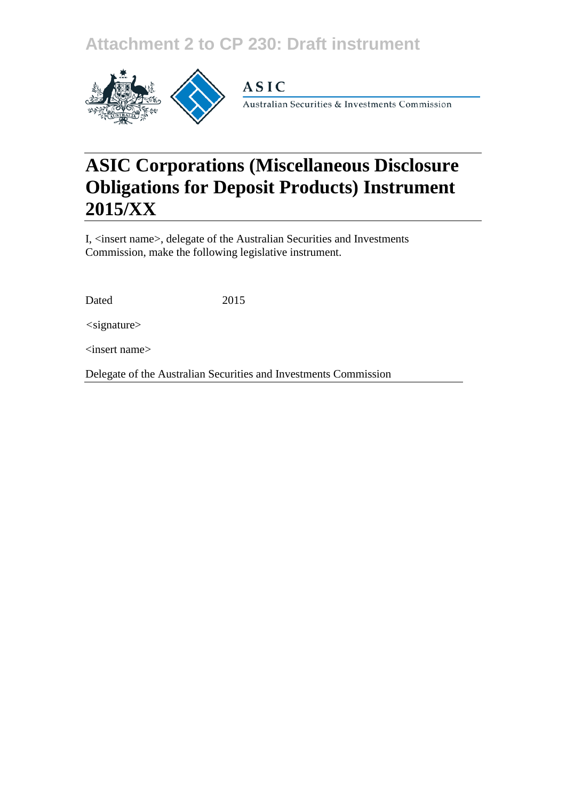## **Attachment 2 to CP 230: Draft instrument**



# **ASIC Corporations (Miscellaneous Disclosure Obligations for Deposit Products) Instrument 2015/XX**

I, <insert name>, delegate of the Australian Securities and Investments Commission, make the following legislative instrument.

Dated 2015

*<*signature>

<insert name>

Delegate of the Australian Securities and Investments Commission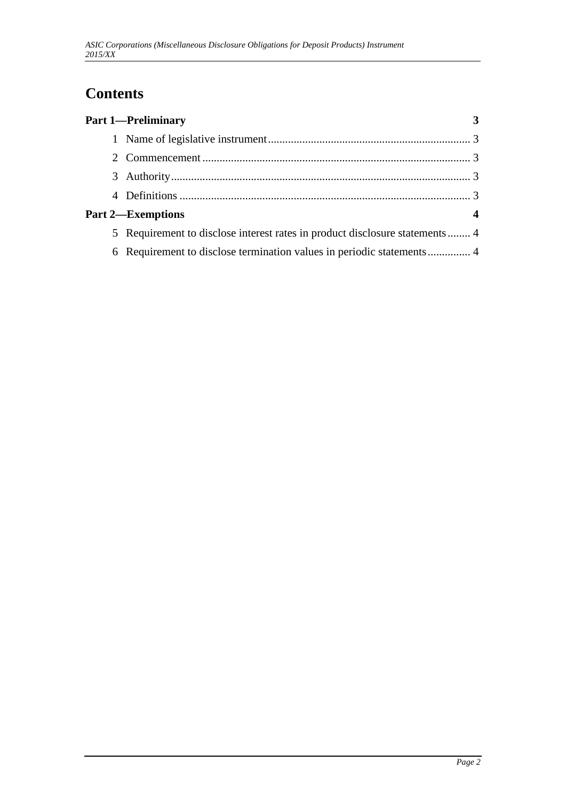### **Contents**

|   | <b>Part 1-Preliminary</b>                                                    |  |
|---|------------------------------------------------------------------------------|--|
|   |                                                                              |  |
|   |                                                                              |  |
|   |                                                                              |  |
|   |                                                                              |  |
|   | <b>Part 2—Exemptions</b>                                                     |  |
|   | 5 Requirement to disclose interest rates in product disclosure statements  4 |  |
| 6 |                                                                              |  |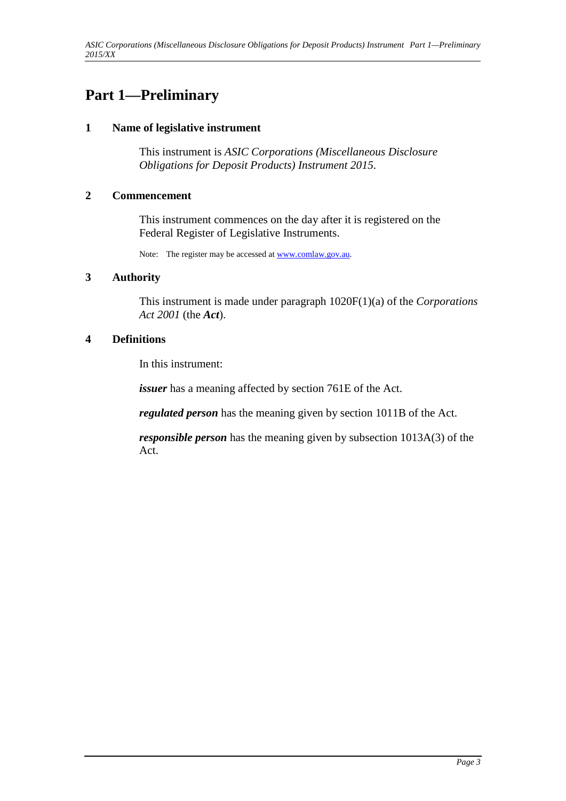### **Part 1—Preliminary**

#### **1 Name of legislative instrument**

This instrument is *ASIC Corporations (Miscellaneous Disclosure Obligations for Deposit Products) Instrument 2015*.

#### **2 Commencement**

This instrument commences on the day after it is registered on the Federal Register of Legislative Instruments.

Note: The register may be accessed a[t www.comlaw.gov.au.](http://www.comlaw.gov.au/)

#### **3 Authority**

This instrument is made under paragraph 1020F(1)(a) of the *Corporations Act 2001* (the *Act*).

#### **4 Definitions**

In this instrument:

*issuer* has a meaning affected by section 761E of the Act.

*regulated person* has the meaning given by section 1011B of the Act.

*responsible person* has the meaning given by subsection 1013A(3) of the Act.